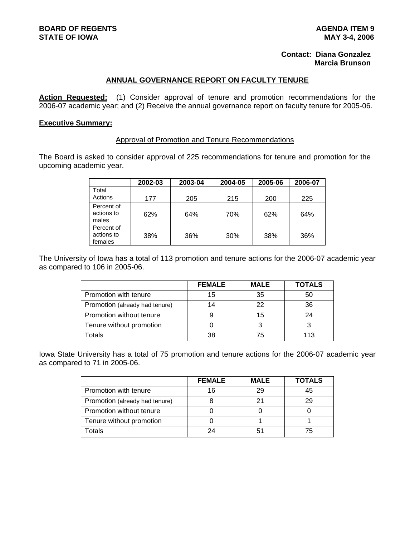# **Contact: Diana Gonzalez Marcia Brunson**

## **ANNUAL GOVERNANCE REPORT ON FACULTY TENURE**

**Action Requested:** (1) Consider approval of tenure and promotion recommendations for the 2006-07 academic year; and (2) Receive the annual governance report on faculty tenure for 2005-06.

# **Executive Summary:**

#### Approval of Promotion and Tenure Recommendations

The Board is asked to consider approval of 225 recommendations for tenure and promotion for the upcoming academic year.

|                                     | 2002-03 | 2003-04 | 2004-05 | 2005-06 | 2006-07 |
|-------------------------------------|---------|---------|---------|---------|---------|
| Total<br>Actions                    | 177     | 205     | 215     | 200     | 225     |
| Percent of<br>actions to<br>males   | 62%     | 64%     | 70%     | 62%     | 64%     |
| Percent of<br>actions to<br>females | 38%     | 36%     | 30%     | 38%     | 36%     |

The University of Iowa has a total of 113 promotion and tenure actions for the 2006-07 academic year as compared to 106 in 2005-06.

|                                | <b>FEMALE</b> | <b>MALE</b> | <b>TOTALS</b> |
|--------------------------------|---------------|-------------|---------------|
| Promotion with tenure          | 15            | 35          | 50            |
| Promotion (already had tenure) | 14            | 22          | 36            |
| Promotion without tenure       |               | 15          | 24            |
| Tenure without promotion       |               |             |               |
| otals                          | 38            | 75          | 113           |

Iowa State University has a total of 75 promotion and tenure actions for the 2006-07 academic year as compared to 71 in 2005-06.

|                                | <b>FEMALE</b> | <b>MALE</b> | <b>TOTALS</b> |
|--------------------------------|---------------|-------------|---------------|
| Promotion with tenure          | 16            | 29          | 45            |
| Promotion (already had tenure) |               |             |               |
| Promotion without tenure       |               |             |               |
| Tenure without promotion       |               |             |               |
| otals                          | 2Δ            |             |               |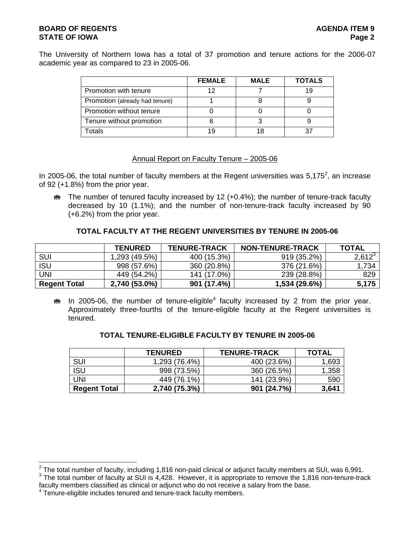# **BOARD OF REGENTS AGENTS** AGENERATION OF REGENTS **STATE OF IOWA** Page 2

The University of Northern Iowa has a total of 37 promotion and tenure actions for the 2006-07 academic year as compared to 23 in 2005-06.

|                                | <b>FEMALE</b> | <b>MALE</b> | <b>TOTALS</b> |
|--------------------------------|---------------|-------------|---------------|
| Promotion with tenure          |               |             |               |
| Promotion (already had tenure) |               |             |               |
| Promotion without tenure       |               |             |               |
| Tenure without promotion       |               |             |               |
| Totals                         | 1 Q           |             |               |

# Annual Report on Faculty Tenure – 2005-06

In 2005-06, the total number of faculty members at the Regent universities was 5,175<sup>2</sup>, an increase of 92 (+1.8%) from the prior year.

 $m$  The number of tenured faculty increased by 12 (+0.4%); the number of tenure-track faculty decreased by 10 (1.1%); and the number of non-tenure-track faculty increased by 90 (+6.2%) from the prior year.

# **TOTAL FACULTY AT THE REGENT UNIVERSITIES BY TENURE IN 2005-06**

|                     | <b>TENURED</b> | <b>TENURE-TRACK</b> | <b>NON-TENURE-TRACK</b> | <b>TOTAL</b> |
|---------------------|----------------|---------------------|-------------------------|--------------|
| SUI                 | 1,293 (49.5%)  | 400 (15.3%)         | 919 (35.2%)             | $2,612^3$    |
| <b>ISU</b>          | 998 (57.6%)    | 360 (20.8%)         | 376 (21.6%)             | 1,734        |
| UNI                 | 449 (54.2%)    | 141 (17.0%)         | 239 (28.8%)             | 829          |
| <b>Regent Total</b> | 2,740 (53.0%)  | 901 (17.4%)         | 1,534 (29.6%)           | 5,175        |

 $m$  In 2005-06, the number of tenure-eligible<sup>4</sup> faculty increased by 2 from the prior year. Approximately three-fourths of the tenure-eligible faculty at the Regent universities is tenured.

|                     | <b>TENURED</b> | <b>TENURE-TRACK</b> | <b>TOTAL</b> |
|---------------------|----------------|---------------------|--------------|
| <b>SUI</b>          | 1,293 (76.4%)  | 400 (23.6%)         | 1,693        |
| ISU                 | 998 (73.5%)    | 360 (26.5%)         | 1,358        |
| UNI                 | 449 (76.1%)    | 141 (23.9%)         | 590          |
| <b>Regent Total</b> | 2,740 (75.3%)  | 901 (24.7%)         | 3,641        |

### **TOTAL TENURE-ELIGIBLE FACULTY BY TENURE IN 2005-06**

<sup>&</sup>lt;sup>2</sup><br><sup>2</sup> The total number of faculty, including 1,816 non-paid clinical or adjunct faculty members at SUI, was 6,991.<br><sup>3</sup> The total number of faculty at SUI is 4,428. Hourouse it is epprentiate to remove the 4,846 non-tonur  $3$  The total number of faculty at SUI is 4,428. However, it is appropriate to remove the 1,816 non-tenure-track

faculty members classified as clinical or adjunct who do not receive a salary from the base. 4

<sup>&</sup>lt;sup>4</sup> Tenure-eligible includes tenured and tenure-track faculty members.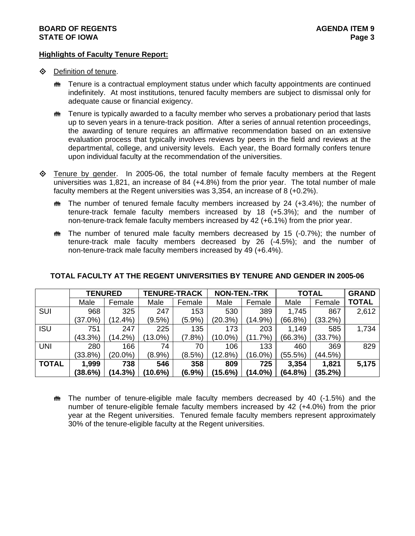### **Highlights of Faculty Tenure Report:**

- **♦** Definition of tenure.
	- $m$  Tenure is a contractual employment status under which faculty appointments are continued indefinitely. At most institutions, tenured faculty members are subject to dismissal only for adequate cause or financial exigency.
	- $m$  Tenure is typically awarded to a faculty member who serves a probationary period that lasts up to seven years in a tenure-track position. After a series of annual retention proceedings, the awarding of tenure requires an affirmative recommendation based on an extensive evaluation process that typically involves reviews by peers in the field and reviews at the departmental, college, and university levels. Each year, the Board formally confers tenure upon individual faculty at the recommendation of the universities.
- $\diamond$  Tenure by gender. In 2005-06, the total number of female faculty members at the Regent universities was 1,821, an increase of 84 (+4.8%) from the prior year. The total number of male faculty members at the Regent universities was 3,354, an increase of 8 (+0.2%).
	- $m$  The number of tenured female faculty members increased by 24 (+3.4%); the number of tenure-track female faculty members increased by 18 (+5.3%); and the number of non-tenure-track female faculty members increased by 42 (+6.1%) from the prior year.
	- $m$  The number of tenured male faculty members decreased by 15 (-0.7%); the number of tenure-track male faculty members decreased by 26 (-4.5%); and the number of non-tenure-track male faculty members increased by 49 (+6.4%).

|              | <b>TENURED</b> |            | <b>TENURE-TRACK</b> |           | <b>NON-TEN.-TRK</b> |            | <b>TOTAL</b> |            | <b>GRAND</b> |
|--------------|----------------|------------|---------------------|-----------|---------------------|------------|--------------|------------|--------------|
|              | Male           | Female     | Male                | Female    | Male                | Female     | Male         | Female     | <b>TOTAL</b> |
| <b>SUI</b>   | 968            | 325        | 247                 | 153       | 530                 | 389        | 1,745        | 867        | 2,612        |
|              | $(37.0\%)$     | $(12.4\%)$ | $(9.5\%)$           | (5.9%)    | (20.3%)             | $(14.9\%)$ | (66.8%)      | $(33.2\%)$ |              |
| <b>ISU</b>   | 751            | 247        | 225                 | 135       | 173                 | 203        | 1,149        | 585        | 1,734        |
|              | (43.3%)        | $(14.2\%)$ | $(13.0\%)$          | (7.8%)    | (10.0%)             | (11.7%)    | (66.3%)      | (33.7%)    |              |
| <b>UNI</b>   | 280            | 166        | 74                  | 70        | 106                 | 133        | 460          | 369        | 829          |
|              | (33.8%)        | $(20.0\%)$ | $(8.9\%)$           | $(8.5\%)$ | (12.8%)             | $(16.0\%)$ | (55.5%)      | (44.5%)    |              |
| <b>TOTAL</b> | 1,999          | 738        | 546                 | 358       | 809                 | 725        | 3,354        | 1,821      | 5,175        |
|              | (38.6%)        | (14.3%)    | (10.6%)             | (6.9%     | (15.6%)             | $(14.0\%)$ | (64.8%)      | (35.2%)    |              |

# **TOTAL FACULTY AT THE REGENT UNIVERSITIES BY TENURE AND GENDER IN 2005-06**

 $m$  The number of tenure-eligible male faculty members decreased by 40 (-1.5%) and the number of tenure-eligible female faculty members increased by 42 (+4.0%) from the prior year at the Regent universities. Tenured female faculty members represent approximately 30% of the tenure-eligible faculty at the Regent universities.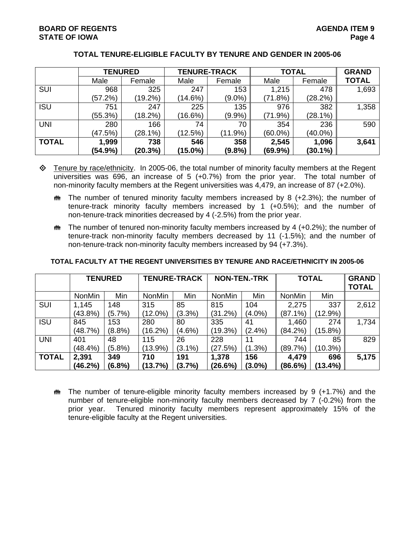|              | <b>TENURED</b> |            |            | <b>TENURE-TRACK</b> | <b>TOTAL</b> | <b>GRAND</b> |              |
|--------------|----------------|------------|------------|---------------------|--------------|--------------|--------------|
|              | Male           | Female     | Male       | Female              | Male         | Female       | <b>TOTAL</b> |
| SUI          | 968            | 325        | 247        | 153                 | 1,215        | 478          | 1,693        |
|              | (57.2%)        | $(19.2\%)$ | $(14.6\%)$ | $(9.0\%)$           | (71.8%)      | (28.2%)      |              |
| <b>ISU</b>   | 751            | 247        | 225        | 135                 | 976          | 382          | 1,358        |
|              | (55.3%)        | (18.2%)    | (16.6%)    | $(9.9\%)$           | (71.9%)      | (28.1%)      |              |
| <b>UNI</b>   | 280            | 166        | 74         | 70                  | 354          | 236          | 590          |
|              | (47.5%)        | (28.1%)    | (12.5%)    | $(11.9\%)$          | $(60.0\%)$   | $(40.0\%)$   |              |
| <b>TOTAL</b> | 1,999          | 738        | 546        | 358                 | 2,545        | 1,096        | 3,641        |
|              | (54.9%)        | (20.3%)    | (15.0%)    | $(9.8\%)$           | $(69.9\%)$   | $(30.1\%)$   |              |

# **TOTAL TENURE-ELIGIBLE FACULTY BY TENURE AND GENDER IN 2005-06**

- $\diamond$  Tenure by race/ethnicity. In 2005-06, the total number of minority faculty members at the Regent universities was 696, an increase of 5 (+0.7%) from the prior year. The total number of non-minority faculty members at the Regent universities was 4,479, an increase of 87 (+2.0%).
	- $m$  The number of tenured minority faculty members increased by 8 (+2.3%); the number of tenure-track minority faculty members increased by 1 (+0.5%); and the number of non-tenure-track minorities decreased by 4 (-2.5%) from the prior year.
	- $\bf{m}$  The number of tenured non-minority faculty members increased by 4 (+0.2%); the number of tenure-track non-minority faculty members decreased by 11 (-1.5%); and the number of non-tenure-track non-minority faculty members increased by 94 (+7.3%).

|              | <b>TENURED</b> |           | <b>TENURE-TRACK</b> |           | <b>NON-TEN.-TRK</b> |           | <b>TOTAL</b>  |            | <b>GRAND</b><br><b>TOTAL</b> |
|--------------|----------------|-----------|---------------------|-----------|---------------------|-----------|---------------|------------|------------------------------|
|              | <b>NonMin</b>  | Min       | <b>NonMin</b>       | Min       | <b>NonMin</b>       | Min       | <b>NonMin</b> | Min        |                              |
| <b>SUI</b>   | 1,145          | 148       | 315                 | 85        | 815                 | 104       | 2,275         | 337        | 2,612                        |
|              | (43.8%)        | $(5.7\%)$ | (12.0%)             | $(3.3\%)$ | (31.2%)             | $(4.0\%)$ | (87.1%)       | (12.9%)    |                              |
| <b>ISU</b>   | 845            | 153       | 280                 | 80        | 335                 | 41        | 1,460         | 274        | 1,734                        |
|              | (48.7%)        | $(8.8\%)$ | (16.2%)             | $(4.6\%)$ | (19.3%)             | $(2.4\%)$ | (84.2%)       | $(15.8\%)$ |                              |
| <b>UNI</b>   | 401            | 48        | 115                 | 26        | 228                 | 11        | 744           | 85         | 829                          |
|              | (48.4%)        | $(5.8\%)$ | $(13.9\%)$          | $(3.1\%)$ | (27.5%)             | $(1.3\%)$ | (89.7%)       | (10.3%)    |                              |
| <b>TOTAL</b> | 2,391          | 349       | 710                 | 191       | 1,378               | 156       | 4,479         | 696        | 5,175                        |
|              | (46.2%)        | (6.8%)    | (13.7%)             | (3.7%)    | (26.6%)             | $(3.0\%)$ | (86.6%)       | $(13.4\%)$ |                              |

#### **TOTAL FACULTY AT THE REGENT UNIVERSITIES BY TENURE AND RACE/ETHNICITY IN 2005-06**

 $\ddot{\mathbf{m}}$  The number of tenure-eligible minority faculty members increased by 9 (+1.7%) and the number of tenure-eligible non-minority faculty members decreased by 7 (-0.2%) from the prior year. Tenured minority faculty members represent approximately 15% of the tenure-eligible faculty at the Regent universities.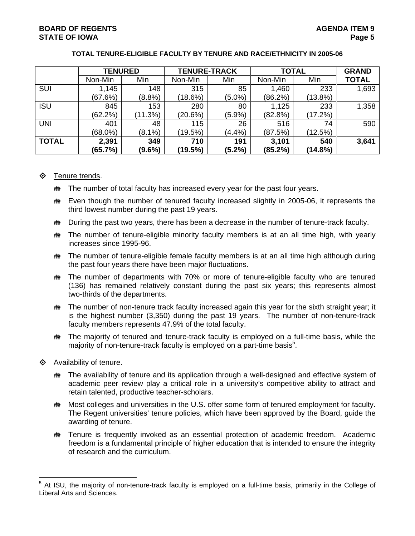|              | <b>TENURED</b> |           |         | <b>TENURE-TRACK</b> |         | <b>TOTAL</b> |              |  |
|--------------|----------------|-----------|---------|---------------------|---------|--------------|--------------|--|
|              | Non-Min        | Min       | Non-Min | Min                 | Non-Min | Min          | <b>TOTAL</b> |  |
| SUI          | 1,145          | 148       | 315     | 85                  | 1,460   | 233          | 1,693        |  |
|              | (67.6%)        | (8.8%)    | (18.6%) | $(5.0\%)$           | (86.2%) | (13.8%)      |              |  |
| <b>ISU</b>   | 845            | 153       | 280     | 80                  | 1,125   | 233          | 1,358        |  |
|              | $(62.2\%)$     | (11.3%)   | (20.6%) | (5.9%)              | (82.8%) | (17.2%)      |              |  |
| <b>UNI</b>   | 401            | 48        | 115     | 26                  | 516     | 74           | 590          |  |
|              | $(68.0\%)$     | $(8.1\%)$ | (19.5%) | (4.4%)              | (87.5%) | (12.5%)      |              |  |
| <b>TOTAL</b> | 2,391          | 349       | 710     | 191                 | 3,101   | 540          | 3,641        |  |
|              | (65.7%)        | $(9.6\%)$ | (19.5%) | (5.2%)              | (85.2%) | (14.8%)      |              |  |

# **TOTAL TENURE-ELIGIBLE FACULTY BY TENURE AND RACE/ETHNICITY IN 2005-06**

# **♦** Tenure trends.

- $m$  The number of total faculty has increased every year for the past four years.
- the Even though the number of tenured faculty increased slightly in 2005-06, it represents the third lowest number during the past 19 years.
- $m$  During the past two years, there has been a decrease in the number of tenure-track faculty.
- $m$  The number of tenure-eligible minority faculty members is at an all time high, with yearly increases since 1995-96.
- $m$  The number of tenure-eligible female faculty members is at an all time high although during the past four years there have been major fluctuations.
- $m$  The number of departments with 70% or more of tenure-eligible faculty who are tenured (136) has remained relatively constant during the past six years; this represents almost two-thirds of the departments.
- $m$  The number of non-tenure track faculty increased again this year for the sixth straight year; it is the highest number (3,350) during the past 19 years. The number of non-tenure-track faculty members represents 47.9% of the total faculty.
- $m$  The majority of tenured and tenure-track faculty is employed on a full-time basis, while the majority of non-tenure-track faculty is employed on a part-time basis<sup>5</sup>.
- $\diamond$  Availability of tenure.
	- $m$  The availability of tenure and its application through a well-designed and effective system of academic peer review play a critical role in a university's competitive ability to attract and retain talented, productive teacher-scholars.
	- $m$  Most colleges and universities in the U.S. offer some form of tenured employment for faculty. The Regent universities' tenure policies, which have been approved by the Board, guide the awarding of tenure.
	- **\*\*** Tenure is frequently invoked as an essential protection of academic freedom. Academic freedom is a fundamental principle of higher education that is intended to ensure the integrity of research and the curriculum.

 5 At ISU, the majority of non-tenure-track faculty is employed on a full-time basis, primarily in the College of Liberal Arts and Sciences.